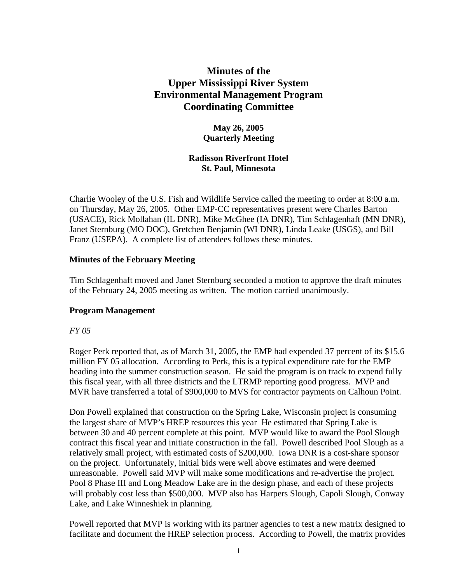# **Minutes of the Upper Mississippi River System Environmental Management Program Coordinating Committee**

# **May 26, 2005 Quarterly Meeting**

# **Radisson Riverfront Hotel St. Paul, Minnesota**

Charlie Wooley of the U.S. Fish and Wildlife Service called the meeting to order at 8:00 a.m. on Thursday, May 26, 2005. Other EMP-CC representatives present were Charles Barton (USACE), Rick Mollahan (IL DNR), Mike McGhee (IA DNR), Tim Schlagenhaft (MN DNR), Janet Sternburg (MO DOC), Gretchen Benjamin (WI DNR), Linda Leake (USGS), and Bill Franz (USEPA). A complete list of attendees follows these minutes.

### **Minutes of the February Meeting**

Tim Schlagenhaft moved and Janet Sternburg seconded a motion to approve the draft minutes of the February 24, 2005 meeting as written. The motion carried unanimously.

# **Program Management**

#### *FY 05*

Roger Perk reported that, as of March 31, 2005, the EMP had expended 37 percent of its \$15.6 million FY 05 allocation. According to Perk, this is a typical expenditure rate for the EMP heading into the summer construction season. He said the program is on track to expend fully this fiscal year, with all three districts and the LTRMP reporting good progress. MVP and MVR have transferred a total of \$900,000 to MVS for contractor payments on Calhoun Point.

Don Powell explained that construction on the Spring Lake, Wisconsin project is consuming the largest share of MVP's HREP resources this year He estimated that Spring Lake is between 30 and 40 percent complete at this point. MVP would like to award the Pool Slough contract this fiscal year and initiate construction in the fall. Powell described Pool Slough as a relatively small project, with estimated costs of \$200,000. Iowa DNR is a cost-share sponsor on the project. Unfortunately, initial bids were well above estimates and were deemed unreasonable. Powell said MVP will make some modifications and re-advertise the project. Pool 8 Phase III and Long Meadow Lake are in the design phase, and each of these projects will probably cost less than \$500,000. MVP also has Harpers Slough, Capoli Slough, Conway Lake, and Lake Winneshiek in planning.

Powell reported that MVP is working with its partner agencies to test a new matrix designed to facilitate and document the HREP selection process. According to Powell, the matrix provides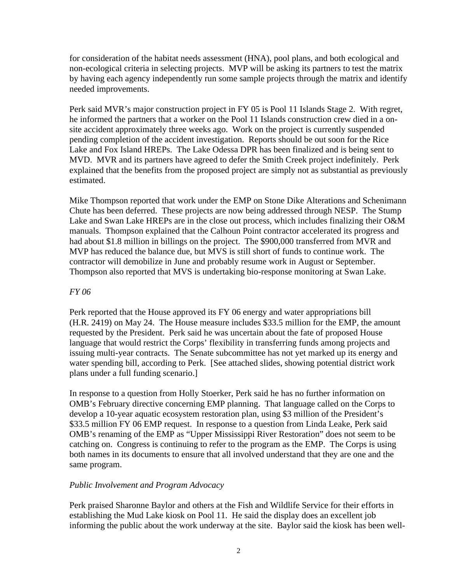for consideration of the habitat needs assessment (HNA), pool plans, and both ecological and non-ecological criteria in selecting projects. MVP will be asking its partners to test the matrix by having each agency independently run some sample projects through the matrix and identify needed improvements.

Perk said MVR's major construction project in FY 05 is Pool 11 Islands Stage 2. With regret, he informed the partners that a worker on the Pool 11 Islands construction crew died in a onsite accident approximately three weeks ago. Work on the project is currently suspended pending completion of the accident investigation. Reports should be out soon for the Rice Lake and Fox Island HREPs. The Lake Odessa DPR has been finalized and is being sent to MVD. MVR and its partners have agreed to defer the Smith Creek project indefinitely. Perk explained that the benefits from the proposed project are simply not as substantial as previously estimated.

Mike Thompson reported that work under the EMP on Stone Dike Alterations and Schenimann Chute has been deferred. These projects are now being addressed through NESP. The Stump Lake and Swan Lake HREPs are in the close out process, which includes finalizing their O&M manuals. Thompson explained that the Calhoun Point contractor accelerated its progress and had about \$1.8 million in billings on the project. The \$900,000 transferred from MVR and MVP has reduced the balance due, but MVS is still short of funds to continue work. The contractor will demobilize in June and probably resume work in August or September. Thompson also reported that MVS is undertaking bio-response monitoring at Swan Lake.

#### *FY 06*

Perk reported that the House approved its FY 06 energy and water appropriations bill (H.R. 2419) on May 24. The House measure includes \$33.5 million for the EMP, the amount requested by the President. Perk said he was uncertain about the fate of proposed House language that would restrict the Corps' flexibility in transferring funds among projects and issuing multi-year contracts. The Senate subcommittee has not yet marked up its energy and water spending bill, according to Perk. [See attached slides, showing potential district work plans under a full funding scenario.]

In response to a question from Holly Stoerker, Perk said he has no further information on OMB's February directive concerning EMP planning. That language called on the Corps to develop a 10-year aquatic ecosystem restoration plan, using \$3 million of the President's \$33.5 million FY 06 EMP request. In response to a question from Linda Leake, Perk said OMB's renaming of the EMP as "Upper Mississippi River Restoration" does not seem to be catching on. Congress is continuing to refer to the program as the EMP. The Corps is using both names in its documents to ensure that all involved understand that they are one and the same program.

#### *Public Involvement and Program Advocacy*

Perk praised Sharonne Baylor and others at the Fish and Wildlife Service for their efforts in establishing the Mud Lake kiosk on Pool 11. He said the display does an excellent job informing the public about the work underway at the site. Baylor said the kiosk has been well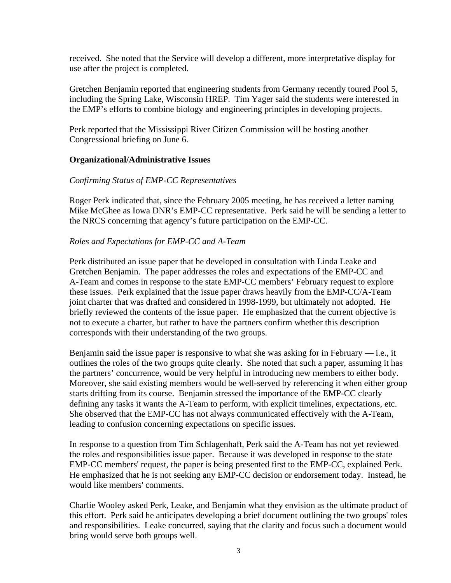received. She noted that the Service will develop a different, more interpretative display for use after the project is completed.

Gretchen Benjamin reported that engineering students from Germany recently toured Pool 5, including the Spring Lake, Wisconsin HREP. Tim Yager said the students were interested in the EMP's efforts to combine biology and engineering principles in developing projects.

Perk reported that the Mississippi River Citizen Commission will be hosting another Congressional briefing on June 6.

#### **Organizational/Administrative Issues**

### *Confirming Status of EMP-CC Representatives*

Roger Perk indicated that, since the February 2005 meeting, he has received a letter naming Mike McGhee as Iowa DNR's EMP-CC representative. Perk said he will be sending a letter to the NRCS concerning that agency's future participation on the EMP-CC.

### *Roles and Expectations for EMP-CC and A-Team*

Perk distributed an issue paper that he developed in consultation with Linda Leake and Gretchen Benjamin. The paper addresses the roles and expectations of the EMP-CC and A-Team and comes in response to the state EMP-CC members' February request to explore these issues. Perk explained that the issue paper draws heavily from the EMP-CC/A-Team joint charter that was drafted and considered in 1998-1999, but ultimately not adopted. He briefly reviewed the contents of the issue paper. He emphasized that the current objective is not to execute a charter, but rather to have the partners confirm whether this description corresponds with their understanding of the two groups.

Benjamin said the issue paper is responsive to what she was asking for in February — i.e., it outlines the roles of the two groups quite clearly. She noted that such a paper, assuming it has the partners' concurrence, would be very helpful in introducing new members to either body. Moreover, she said existing members would be well-served by referencing it when either group starts drifting from its course. Benjamin stressed the importance of the EMP-CC clearly defining any tasks it wants the A-Team to perform, with explicit timelines, expectations, etc. She observed that the EMP-CC has not always communicated effectively with the A-Team, leading to confusion concerning expectations on specific issues.

In response to a question from Tim Schlagenhaft, Perk said the A-Team has not yet reviewed the roles and responsibilities issue paper. Because it was developed in response to the state EMP-CC members' request, the paper is being presented first to the EMP-CC, explained Perk. He emphasized that he is not seeking any EMP-CC decision or endorsement today. Instead, he would like members' comments.

Charlie Wooley asked Perk, Leake, and Benjamin what they envision as the ultimate product of this effort. Perk said he anticipates developing a brief document outlining the two groups' roles and responsibilities. Leake concurred, saying that the clarity and focus such a document would bring would serve both groups well.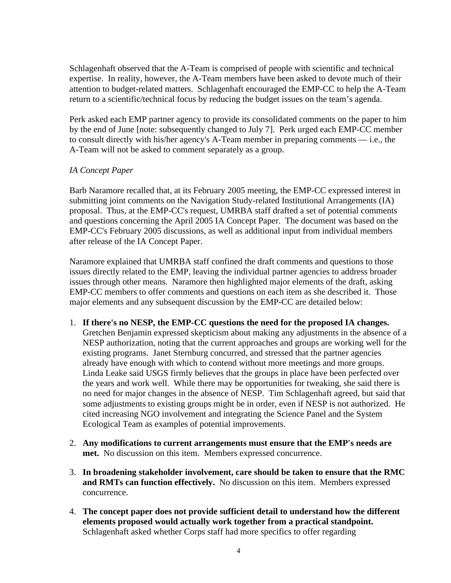Schlagenhaft observed that the A-Team is comprised of people with scientific and technical expertise. In reality, however, the A-Team members have been asked to devote much of their attention to budget-related matters. Schlagenhaft encouraged the EMP-CC to help the A-Team return to a scientific/technical focus by reducing the budget issues on the team's agenda.

Perk asked each EMP partner agency to provide its consolidated comments on the paper to him by the end of June [note: subsequently changed to July 7]. Perk urged each EMP-CC member to consult directly with his/her agency's A-Team member in preparing comments — i.e., the A-Team will not be asked to comment separately as a group.

# *IA Concept Paper*

Barb Naramore recalled that, at its February 2005 meeting, the EMP-CC expressed interest in submitting joint comments on the Navigation Study-related Institutional Arrangements (IA) proposal. Thus, at the EMP-CC's request, UMRBA staff drafted a set of potential comments and questions concerning the April 2005 IA Concept Paper. The document was based on the EMP-CC's February 2005 discussions, as well as additional input from individual members after release of the IA Concept Paper.

Naramore explained that UMRBA staff confined the draft comments and questions to those issues directly related to the EMP, leaving the individual partner agencies to address broader issues through other means. Naramore then highlighted major elements of the draft, asking EMP-CC members to offer comments and questions on each item as she described it. Those major elements and any subsequent discussion by the EMP-CC are detailed below:

- 1. **If there's no NESP, the EMP-CC questions the need for the proposed IA changes.**  Gretchen Benjamin expressed skepticism about making any adjustments in the absence of a NESP authorization, noting that the current approaches and groups are working well for the existing programs. Janet Sternburg concurred, and stressed that the partner agencies already have enough with which to contend without more meetings and more groups. Linda Leake said USGS firmly believes that the groups in place have been perfected over the years and work well. While there may be opportunities for tweaking, she said there is no need for major changes in the absence of NESP. Tim Schlagenhaft agreed, but said that some adjustments to existing groups might be in order, even if NESP is not authorized. He cited increasing NGO involvement and integrating the Science Panel and the System Ecological Team as examples of potential improvements.
- 2. **Any modifications to current arrangements must ensure that the EMP's needs are met.** No discussion on this item. Members expressed concurrence.
- 3. **In broadening stakeholder involvement, care should be taken to ensure that the RMC and RMTs can function effectively.** No discussion on this item. Members expressed concurrence.
- 4. **The concept paper does not provide sufficient detail to understand how the different elements proposed would actually work together from a practical standpoint.** Schlagenhaft asked whether Corps staff had more specifics to offer regarding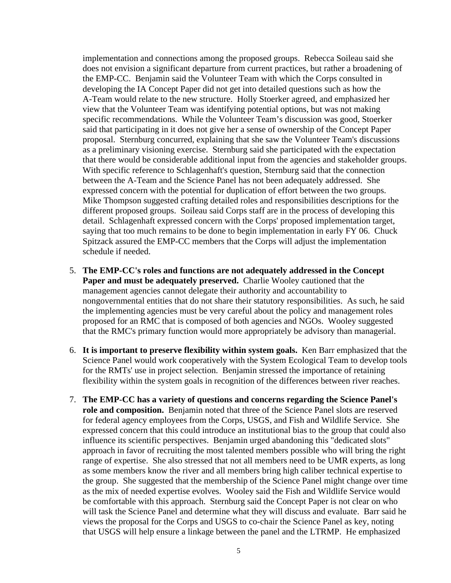implementation and connections among the proposed groups. Rebecca Soileau said she does not envision a significant departure from current practices, but rather a broadening of the EMP-CC. Benjamin said the Volunteer Team with which the Corps consulted in developing the IA Concept Paper did not get into detailed questions such as how the A-Team would relate to the new structure. Holly Stoerker agreed, and emphasized her view that the Volunteer Team was identifying potential options, but was not making specific recommendations. While the Volunteer Team's discussion was good, Stoerker said that participating in it does not give her a sense of ownership of the Concept Paper proposal. Sternburg concurred, explaining that she saw the Volunteer Team's discussions as a preliminary visioning exercise. Sternburg said she participated with the expectation that there would be considerable additional input from the agencies and stakeholder groups. With specific reference to Schlagenhaft's question, Sternburg said that the connection between the A-Team and the Science Panel has not been adequately addressed. She expressed concern with the potential for duplication of effort between the two groups. Mike Thompson suggested crafting detailed roles and responsibilities descriptions for the different proposed groups. Soileau said Corps staff are in the process of developing this detail. Schlagenhaft expressed concern with the Corps' proposed implementation target, saying that too much remains to be done to begin implementation in early FY 06. Chuck Spitzack assured the EMP-CC members that the Corps will adjust the implementation schedule if needed.

- 5. **The EMP-CC's roles and functions are not adequately addressed in the Concept Paper and must be adequately preserved.** Charlie Wooley cautioned that the management agencies cannot delegate their authority and accountability to nongovernmental entities that do not share their statutory responsibilities. As such, he said the implementing agencies must be very careful about the policy and management roles proposed for an RMC that is composed of both agencies and NGOs. Wooley suggested that the RMC's primary function would more appropriately be advisory than managerial.
- 6. **It is important to preserve flexibility within system goals.** Ken Barr emphasized that the Science Panel would work cooperatively with the System Ecological Team to develop tools for the RMTs' use in project selection. Benjamin stressed the importance of retaining flexibility within the system goals in recognition of the differences between river reaches.
- 7. **The EMP-CC has a variety of questions and concerns regarding the Science Panel's role and composition.** Benjamin noted that three of the Science Panel slots are reserved for federal agency employees from the Corps, USGS, and Fish and Wildlife Service. She expressed concern that this could introduce an institutional bias to the group that could also influence its scientific perspectives. Benjamin urged abandoning this "dedicated slots" approach in favor of recruiting the most talented members possible who will bring the right range of expertise. She also stressed that not all members need to be UMR experts, as long as some members know the river and all members bring high caliber technical expertise to the group. She suggested that the membership of the Science Panel might change over time as the mix of needed expertise evolves. Wooley said the Fish and Wildlife Service would be comfortable with this approach. Sternburg said the Concept Paper is not clear on who will task the Science Panel and determine what they will discuss and evaluate. Barr said he views the proposal for the Corps and USGS to co-chair the Science Panel as key, noting that USGS will help ensure a linkage between the panel and the LTRMP. He emphasized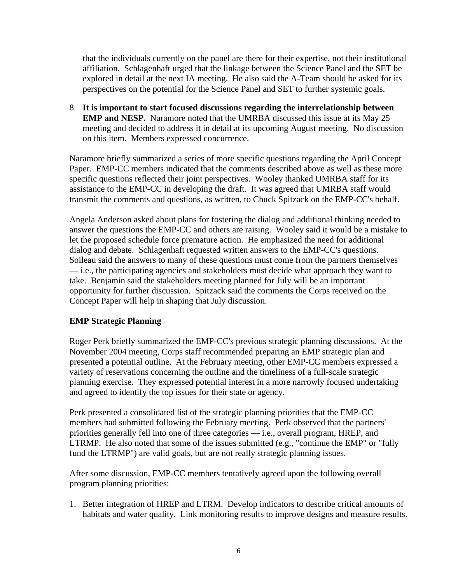that the individuals currently on the panel are there for their expertise, not their institutional affiliation. Schlagenhaft urged that the linkage between the Science Panel and the SET be explored in detail at the next IA meeting. He also said the A-Team should be asked for its perspectives on the potential for the Science Panel and SET to further systemic goals.

8. **It is important to start focused discussions regarding the interrelationship between EMP and NESP.** Naramore noted that the UMRBA discussed this issue at its May 25 meeting and decided to address it in detail at its upcoming August meeting. No discussion on this item. Members expressed concurrence.

Naramore briefly summarized a series of more specific questions regarding the April Concept Paper. EMP-CC members indicated that the comments described above as well as these more specific questions reflected their joint perspectives. Wooley thanked UMRBA staff for its assistance to the EMP-CC in developing the draft. It was agreed that UMRBA staff would transmit the comments and questions, as written, to Chuck Spitzack on the EMP-CC's behalf.

Angela Anderson asked about plans for fostering the dialog and additional thinking needed to answer the questions the EMP-CC and others are raising. Wooley said it would be a mistake to let the proposed schedule force premature action. He emphasized the need for additional dialog and debate. Schlagenhaft requested written answers to the EMP-CC's questions. Soileau said the answers to many of these questions must come from the partners themselves — i.e., the participating agencies and stakeholders must decide what approach they want to take. Benjamin said the stakeholders meeting planned for July will be an important opportunity for further discussion. Spitzack said the comments the Corps received on the Concept Paper will help in shaping that July discussion.

# **EMP Strategic Planning**

Roger Perk briefly summarized the EMP-CC's previous strategic planning discussions. At the November 2004 meeting, Corps staff recommended preparing an EMP strategic plan and presented a potential outline. At the February meeting, other EMP-CC members expressed a variety of reservations concerning the outline and the timeliness of a full-scale strategic planning exercise. They expressed potential interest in a more narrowly focused undertaking and agreed to identify the top issues for their state or agency.

Perk presented a consolidated list of the strategic planning priorities that the EMP-CC members had submitted following the February meeting. Perk observed that the partners' priorities generally fell into one of three categories — i.e., overall program, HREP, and LTRMP. He also noted that some of the issues submitted (e.g., "continue the EMP" or "fully fund the LTRMP") are valid goals, but are not really strategic planning issues.

After some discussion, EMP-CC members tentatively agreed upon the following overall program planning priorities:

1. Better integration of HREP and LTRM. Develop indicators to describe critical amounts of habitats and water quality. Link monitoring results to improve designs and measure results.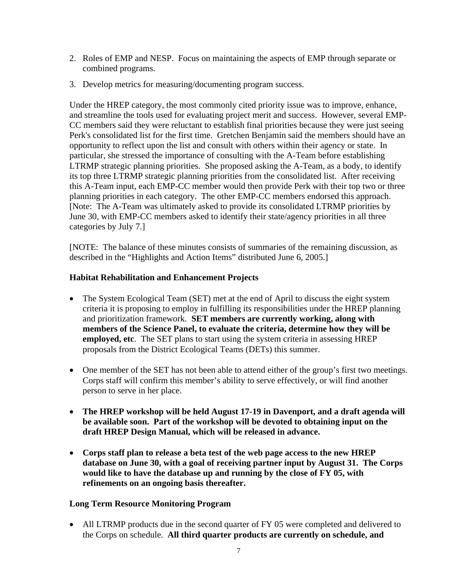- 2. Roles of EMP and NESP. Focus on maintaining the aspects of EMP through separate or combined programs.
- 3. Develop metrics for measuring/documenting program success.

Under the HREP category, the most commonly cited priority issue was to improve, enhance, and streamline the tools used for evaluating project merit and success. However, several EMP-CC members said they were reluctant to establish final priorities because they were just seeing Perk's consolidated list for the first time. Gretchen Benjamin said the members should have an opportunity to reflect upon the list and consult with others within their agency or state. In particular, she stressed the importance of consulting with the A-Team before establishing LTRMP strategic planning priorities. She proposed asking the A-Team, as a body, to identify its top three LTRMP strategic planning priorities from the consolidated list. After receiving this A-Team input, each EMP-CC member would then provide Perk with their top two or three planning priorities in each category. The other EMP-CC members endorsed this approach. [Note: The A-Team was ultimately asked to provide its consolidated LTRMP priorities by June 30, with EMP-CC members asked to identify their state/agency priorities in all three categories by July 7.]

[NOTE: The balance of these minutes consists of summaries of the remaining discussion, as described in the "Highlights and Action Items" distributed June 6, 2005.]

# **Habitat Rehabilitation and Enhancement Projects**

- The System Ecological Team (SET) met at the end of April to discuss the eight system criteria it is proposing to employ in fulfilling its responsibilities under the HREP planning and prioritization framework. **SET members are currently working, along with members of the Science Panel, to evaluate the criteria, determine how they will be employed, etc**. The SET plans to start using the system criteria in assessing HREP proposals from the District Ecological Teams (DETs) this summer.
- One member of the SET has not been able to attend either of the group's first two meetings. Corps staff will confirm this member's ability to serve effectively, or will find another person to serve in her place.
- **The HREP workshop will be held August 17-19 in Davenport, and a draft agenda will be available soon. Part of the workshop will be devoted to obtaining input on the draft HREP Design Manual, which will be released in advance.**
- **Corps staff plan to release a beta test of the web page access to the new HREP database on June 30, with a goal of receiving partner input by August 31. The Corps would like to have the database up and running by the close of FY 05, with refinements on an ongoing basis thereafter.**

#### **Long Term Resource Monitoring Program**

• All LTRMP products due in the second quarter of FY 05 were completed and delivered to the Corps on schedule. **All third quarter products are currently on schedule, and**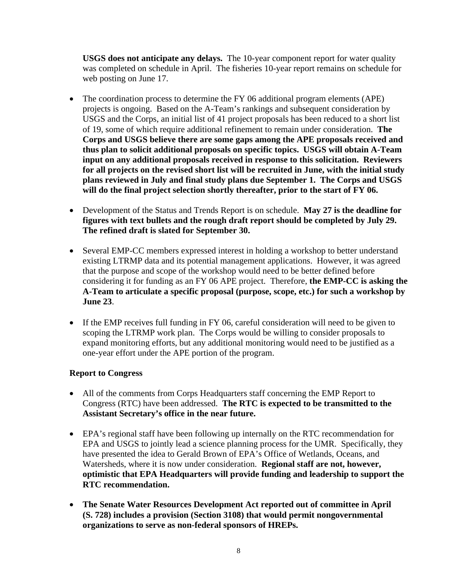**USGS does not anticipate any delays.** The 10-year component report for water quality was completed on schedule in April. The fisheries 10-year report remains on schedule for web posting on June 17.

- The coordination process to determine the FY 06 additional program elements (APE) projects is ongoing. Based on the A-Team's rankings and subsequent consideration by USGS and the Corps, an initial list of 41 project proposals has been reduced to a short list of 19, some of which require additional refinement to remain under consideration. **The Corps and USGS believe there are some gaps among the APE proposals received and thus plan to solicit additional proposals on specific topics. USGS will obtain A-Team input on any additional proposals received in response to this solicitation. Reviewers for all projects on the revised short list will be recruited in June, with the initial study plans reviewed in July and final study plans due September 1. The Corps and USGS will do the final project selection shortly thereafter, prior to the start of FY 06.**
- Development of the Status and Trends Report is on schedule. **May 27 is the deadline for figures with text bullets and the rough draft report should be completed by July 29. The refined draft is slated for September 30.**
- Several EMP-CC members expressed interest in holding a workshop to better understand existing LTRMP data and its potential management applications. However, it was agreed that the purpose and scope of the workshop would need to be better defined before considering it for funding as an FY 06 APE project. Therefore, **the EMP-CC is asking the A-Team to articulate a specific proposal (purpose, scope, etc.) for such a workshop by June 23**.
- If the EMP receives full funding in FY 06, careful consideration will need to be given to scoping the LTRMP work plan. The Corps would be willing to consider proposals to expand monitoring efforts, but any additional monitoring would need to be justified as a one-year effort under the APE portion of the program.

# **Report to Congress**

- All of the comments from Corps Headquarters staff concerning the EMP Report to Congress (RTC) have been addressed. **The RTC is expected to be transmitted to the Assistant Secretary's office in the near future.**
- EPA's regional staff have been following up internally on the RTC recommendation for EPA and USGS to jointly lead a science planning process for the UMR. Specifically, they have presented the idea to Gerald Brown of EPA's Office of Wetlands, Oceans, and Watersheds, where it is now under consideration. **Regional staff are not, however, optimistic that EPA Headquarters will provide funding and leadership to support the RTC recommendation.**
- **The Senate Water Resources Development Act reported out of committee in April (S. 728) includes a provision (Section 3108) that would permit nongovernmental organizations to serve as non-federal sponsors of HREPs.**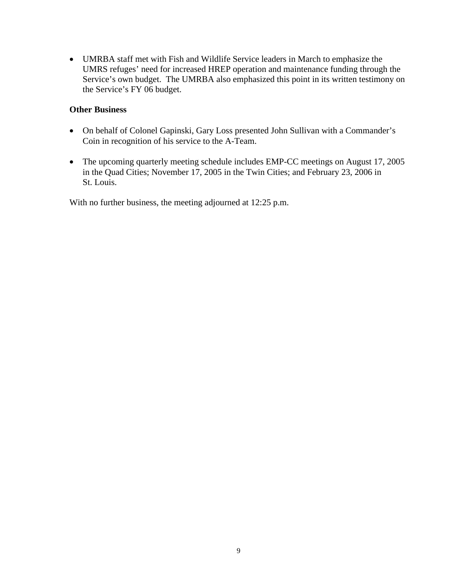• UMRBA staff met with Fish and Wildlife Service leaders in March to emphasize the UMRS refuges' need for increased HREP operation and maintenance funding through the Service's own budget. The UMRBA also emphasized this point in its written testimony on the Service's FY 06 budget.

# **Other Business**

- On behalf of Colonel Gapinski, Gary Loss presented John Sullivan with a Commander's Coin in recognition of his service to the A-Team.
- The upcoming quarterly meeting schedule includes EMP-CC meetings on August 17, 2005 in the Quad Cities; November 17, 2005 in the Twin Cities; and February 23, 2006 in St. Louis.

With no further business, the meeting adjourned at 12:25 p.m.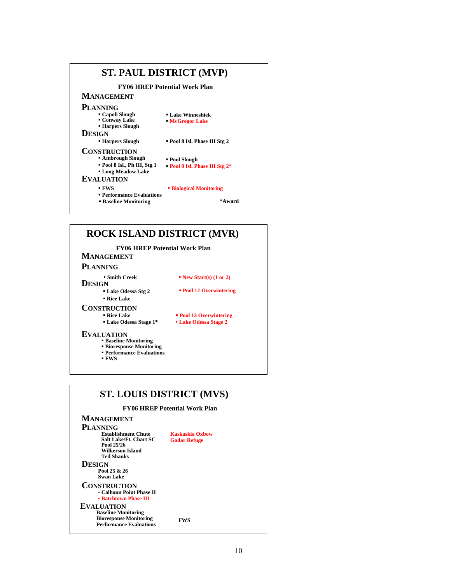

# **ROCK ISLAND DISTRICT (MVR)**

#### **FY06 HREP Potential Work Plan**

### **MANAGEMENT**

#### **PLANNING**

#### **DESIGN Smith Creek**

**Lake Odessa Stg 2**

#### **New Start(s) (1 or 2)**

 **Lake Odessa Stage 2 Pool 12 Overwintering** 

**Pool 12 Overwintering**

# **Rice Lake**

#### **CONSTRUCTION Rice Lake**

- **Lake Odessa Stage 1\***
	-

#### **EVALUATION**

- **Baseline Monitoring**
- **Performance Evaluations Bioresponse Monitoring**
- **FWS**
- 

# **ST. LOUIS DISTRICT (MVS) FY06 HREP Potential Work Plan MANAGEMENT**

| <b>PLANNING</b>                                                                                                    |                                        |  |
|--------------------------------------------------------------------------------------------------------------------|----------------------------------------|--|
| <b>Establishment Chute</b><br>Salt Lake/Ft. Chart SC<br>Pool 25/26<br>Wilkerson Island<br><b>Ted Shanks</b>        | Kaskaskia Oxhow<br><b>Godar Refuge</b> |  |
| DESIGN<br>Pool 25 & 26<br><b>Swan Lake</b>                                                                         |                                        |  |
| <b>CONSTRUCTION</b><br>• Calhoun Point Phase II<br>• Batchtown Phase III                                           |                                        |  |
| <b>EVALUATION</b><br><b>Baseline Monitoring</b><br><b>Bioresponse Monitoring</b><br><b>Performance Evaluations</b> | FWS                                    |  |